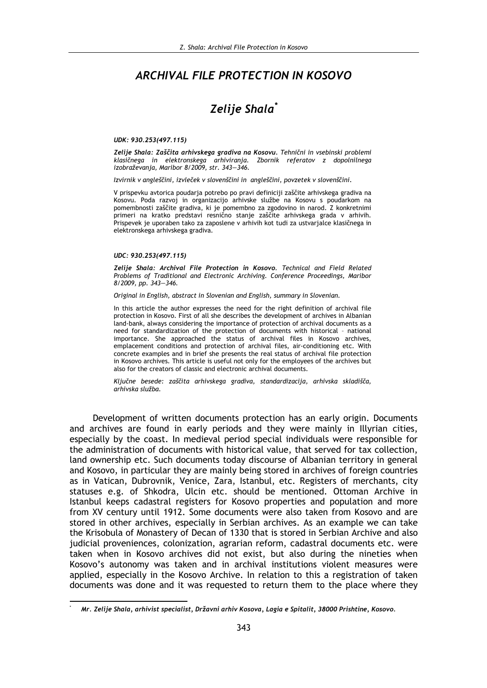## **ARCHIVAL FILE PROTECTION IN KOSOVO**

# Zelije Shala<sup>\*</sup>

#### UDK: 930.253(497.115)

Zelije Shala: Zaščita arhivskega gradiva na Kosovu. Tehnični in vsebinski problemi klasičnega in elektronskega arhiviranja. Zbornik referatov z dopolnilnega izobraževania, Maribor 8/2009, str. 343-346.

Izvirnik v angleščini, izvleček v slovenščini in angleščini, povzetek v slovenščini.

V prispevku avtorica poudarja potrebo po pravi definiciji zaščite arhivskega gradiva na Kosovu. Poda razvoj in organizacijo arhivske službe na Kosovu s poudarkom na pomembnosti zaščite gradiva, ki je pomembno za zgodovino in narod. Z konkretnimi primeri na kratko predstavi resnično stanje zaščite arhivskega grada v arhivih. Prispevek je uporaben tako za zaposlene v arhivih kot tudi za ustvarjalce klasičnega in elektronskega arhivskega gradiva.

#### UDC: 930.253(497.115)

Zelije Shala: Archival File Protection in Kosovo. Technical and Field Related Problems of Traditional and Electronic Archiving. Conference Proceedings, Maribor 8/2009, pp. 343-346.

Original in English, abstract in Slovenian and English, summary in Slovenian.

In this article the author expresses the need for the right definition of archival file protection in Kosovo. First of all she describes the development of archives in Albanian land-bank, always considering the importance of protection of archival documents as a need for standardization of the protection of documents with historical - national importance. She approached the status of archival files in Kosovo archives, emplacement conditions and protection of archival files, air-conditioning etc. With concrete examples and in brief she presents the real status of archival file protection in Kosovo archives. This article is useful not only for the employees of the archives but also for the creators of classic and electronic archival documents.

Kliučne besede: zaščita arhivskega gradiva, standardizacija, arhivska skladišča, arhivska služba.

Development of written documents protection has an early origin. Documents and archives are found in early periods and they were mainly in Illyrian cities, especially by the coast. In medieval period special individuals were responsible for the administration of documents with historical value, that served for tax collection, land ownership etc. Such documents today discourse of Albanian territory in general and Kosovo, in particular they are mainly being stored in archives of foreign countries as in Vatican, Dubrovnik, Venice, Zara, Istanbul, etc. Registers of merchants, city statuses e.g. of Shkodra, Ulcin etc. should be mentioned. Ottoman Archive in Istanbul keeps cadastral registers for Kosovo properties and population and more from XV century until 1912. Some documents were also taken from Kosovo and are stored in other archives, especially in Serbian archives. As an example we can take the Krisobula of Monastery of Decan of 1330 that is stored in Serbian Archive and also judicial proveniences, colonization, agrarian reform, cadastral documents etc. were taken when in Kosovo archives did not exist, but also during the nineties when Kosovo's autonomy was taken and in archival institutions violent measures were applied, especially in the Kosovo Archive. In relation to this a registration of taken documents was done and it was requested to return them to the place where they

Mr. Zelije Shala, arhivist specialist, Državni arhiv Kosova, Lagia e Spitalit, 38000 Prishtine, Kosovo.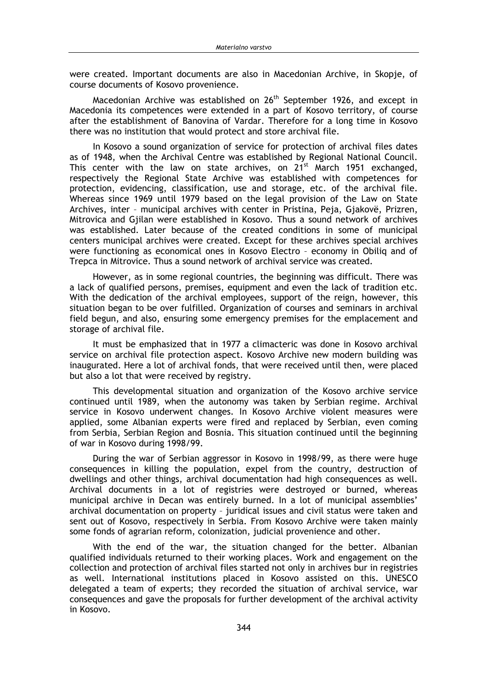were created. Important documents are also in Macedonian Archive, in Skopje, of course documents of Kosovo provenience.

Macedonian Archive was established on 26<sup>th</sup> September 1926, and except in Macedonia its competences were extended in a part of Kosovo territory, of course after the establishment of Banovina of Vardar. Therefore for a long time in Kosovo there was no institution that would protect and store archival file.

In Kosovo a sound organization of service for protection of archival files dates as of 1948, when the Archival Centre was established by Regional National Council. This center with the law on state archives, on 21<sup>st</sup> March 1951 exchanged, respectively the Regional State Archive was established with competences for protection, evidencing, classification, use and storage, etc. of the archival file. Whereas since 1969 until 1979 based on the legal provision of the Law on State Archives, inter - municipal archives with center in Pristina, Peja, Gjakovë, Prizren, Mitrovica and Gjilan were established in Kosovo. Thus a sound network of archives was established. Later because of the created conditions in some of municipal centers municipal archives were created. Except for these archives special archives were functioning as economical ones in Kosovo Electro - economy in Obiliq and of Trepca in Mitrovice. Thus a sound network of archival service was created.

However, as in some regional countries, the beginning was difficult. There was a lack of qualified persons, premises, equipment and even the lack of tradition etc. With the dedication of the archival employees, support of the reign, however, this situation began to be over fulfilled. Organization of courses and seminars in archival field begun, and also, ensuring some emergency premises for the emplacement and storage of archival file.

It must be emphasized that in 1977 a climacteric was done in Kosovo archival service on archival file protection aspect. Kosovo Archive new modern building was inaugurated. Here a lot of archival fonds, that were received until then, were placed but also a lot that were received by registry.

This developmental situation and organization of the Kosovo archive service continued until 1989, when the autonomy was taken by Serbian regime. Archival service in Kosovo underwent changes. In Kosovo Archive violent measures were applied, some Albanian experts were fired and replaced by Serbian, even coming from Serbia, Serbian Region and Bosnia. This situation continued until the beginning of war in Kosovo during 1998/99.

During the war of Serbian aggressor in Kosovo in 1998/99, as there were huge consequences in killing the population, expel from the country, destruction of dwellings and other things, archival documentation had high consequences as well. Archival documents in a lot of registries were destroyed or burned, whereas municipal archive in Decan was entirely burned. In a lot of municipal assemblies' archival documentation on property - juridical issues and civil status were taken and sent out of Kosovo, respectively in Serbia. From Kosovo Archive were taken mainly some fonds of agrarian reform, colonization, judicial provenience and other.

With the end of the war, the situation changed for the better. Albanian qualified individuals returned to their working places. Work and engagement on the collection and protection of archival files started not only in archives bur in registries as well. International institutions placed in Kosovo assisted on this. UNESCO delegated a team of experts; they recorded the situation of archival service, war consequences and gave the proposals for further development of the archival activity in Kosovo.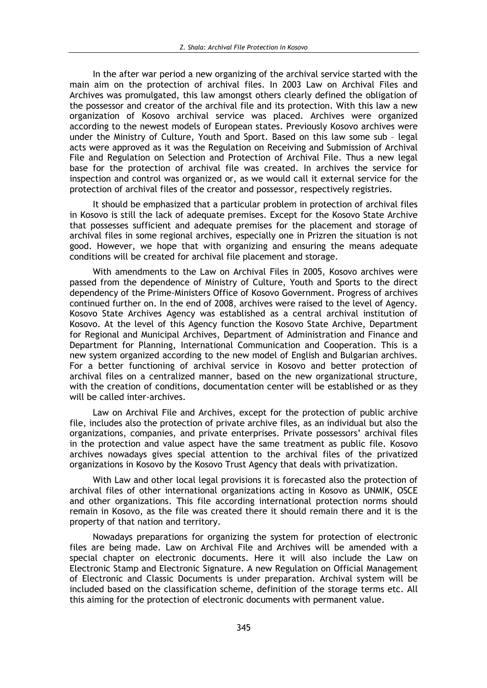In the after war period a new organizing of the archival service started with the main aim on the protection of archival files. In 2003 Law on Archival Files and Archives was promulgated, this law amongst others clearly defined the obligation of the possessor and creator of the archival file and its protection. With this law a new organization of Kosovo archival service was placed. Archives were organized according to the newest models of European states. Previously Kosovo archives were under the Ministry of Culture, Youth and Sport. Based on this law some sub - legal acts were approved as it was the Regulation on Receiving and Submission of Archival File and Regulation on Selection and Protection of Archival File. Thus a new legal base for the protection of archival file was created. In archives the service for inspection and control was organized or, as we would call it external service for the protection of archival files of the creator and possessor, respectively registries.

It should be emphasized that a particular problem in protection of archival files in Kosovo is still the lack of adequate premises. Except for the Kosovo State Archive that possesses sufficient and adequate premises for the placement and storage of archival files in some regional archives, especially one in Prizren the situation is not good. However, we hope that with organizing and ensuring the means adequate conditions will be created for archival file placement and storage.

With amendments to the Law on Archival Files in 2005, Kosovo archives were passed from the dependence of Ministry of Culture, Youth and Sports to the direct dependency of the Prime-Ministers Office of Kosovo Government. Progress of archives continued further on. In the end of 2008, archives were raised to the level of Agency. Kosovo State Archives Agency was established as a central archival institution of Kosovo. At the level of this Agency function the Kosovo State Archive, Department for Regional and Municipal Archives, Department of Administration and Finance and Department for Planning, International Communication and Cooperation. This is a new system organized according to the new model of English and Bulgarian archives. For a better functioning of archival service in Kosovo and better protection of archival files on a centralized manner, based on the new organizational structure, with the creation of conditions, documentation center will be established or as they will be called inter-archives.

Law on Archival File and Archives, except for the protection of public archive file, includes also the protection of private archive files, as an individual but also the organizations, companies, and private enterprises. Private possessors' archival files in the protection and value aspect have the same treatment as public file. Kosovo archives nowadays gives special attention to the archival files of the privatized organizations in Kosovo by the Kosovo Trust Agency that deals with privatization.

With Law and other local legal provisions it is forecasted also the protection of archival files of other international organizations acting in Kosovo as UNMIK, OSCE and other organizations. This file according international protection norms should remain in Kosovo, as the file was created there it should remain there and it is the property of that nation and territory.

Nowadays preparations for organizing the system for protection of electronic files are being made. Law on Archival File and Archives will be amended with a special chapter on electronic documents. Here it will also include the Law on Electronic Stamp and Electronic Signature. A new Regulation on Official Management of Electronic and Classic Documents is under preparation. Archival system will be included based on the classification scheme, definition of the storage terms etc. All this aiming for the protection of electronic documents with permanent value.